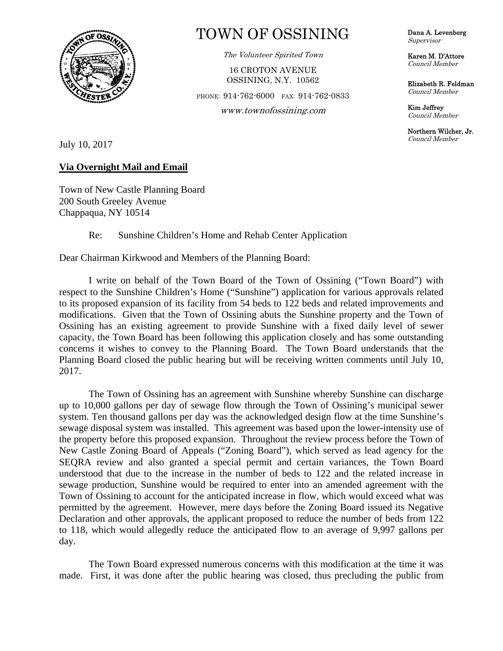

## TOWN OF OSSINING

The Volunteer Spirited Town

16 CROTON AVENUE OSSINING, N.Y. 10562

PHONE: 914-762-6000 FAX: 914-762-0833

**OS**  www.townofossining.com

Dana A. Levenberg Supervisor

Karen M. D'Attore Council Member

Elizabeth R. Feldman Council Member

Kim Jeffrey Council Member

Northern Wilcher, Jr. Council Member

July 10, 2017

## **Via Overnight Mail and Email**

Town of New Castle Planning Board 200 South Greeley Avenue Chappaqua, NY 10514

## Re: Sunshine Children's Home and Rehab Center Application

Dear Chairman Kirkwood and Members of the Planning Board:

 I write on behalf of the Town Board of the Town of Ossining ("Town Board") with respect to the Sunshine Children's Home ("Sunshine") application for various approvals related to its proposed expansion of its facility from 54 beds to 122 beds and related improvements and modifications. Given that the Town of Ossining abuts the Sunshine property and the Town of Ossining has an existing agreement to provide Sunshine with a fixed daily level of sewer capacity, the Town Board has been following this application closely and has some outstanding concerns it wishes to convey to the Planning Board. The Town Board understands that the Planning Board closed the public hearing but will be receiving written comments until July 10, 2017.

 The Town of Ossining has an agreement with Sunshine whereby Sunshine can discharge up to 10,000 gallons per day of sewage flow through the Town of Ossining's municipal sewer system. Ten thousand gallons per day was the acknowledged design flow at the time Sunshine's sewage disposal system was installed. This agreement was based upon the lower-intensity use of the property before this proposed expansion. Throughout the review process before the Town of New Castle Zoning Board of Appeals ("Zoning Board"), which served as lead agency for the SEQRA review and also granted a special permit and certain variances, the Town Board understood that due to the increase in the number of beds to 122 and the related increase in sewage production, Sunshine would be required to enter into an amended agreement with the Town of Ossining to account for the anticipated increase in flow, which would exceed what was permitted by the agreement. However, mere days before the Zoning Board issued its Negative Declaration and other approvals, the applicant proposed to reduce the number of beds from 122 to 118, which would allegedly reduce the anticipated flow to an average of 9,997 gallons per day.

 The Town Board expressed numerous concerns with this modification at the time it was made. First, it was done after the public hearing was closed, thus precluding the public from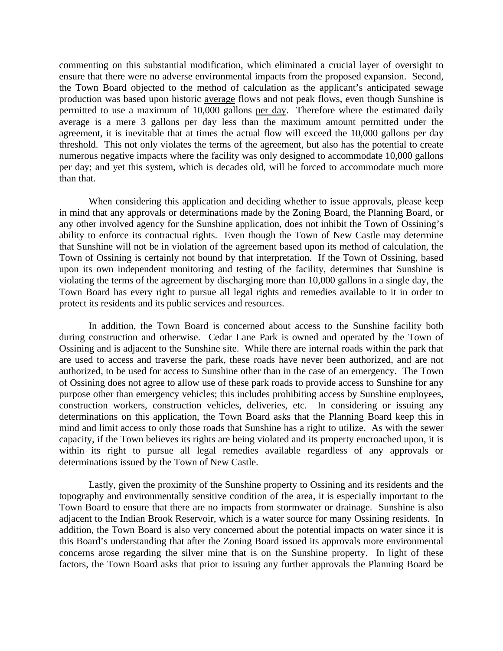commenting on this substantial modification, which eliminated a crucial layer of oversight to ensure that there were no adverse environmental impacts from the proposed expansion. Second, the Town Board objected to the method of calculation as the applicant's anticipated sewage production was based upon historic average flows and not peak flows, even though Sunshine is permitted to use a maximum of 10,000 gallons per day. Therefore where the estimated daily average is a mere 3 gallons per day less than the maximum amount permitted under the agreement, it is inevitable that at times the actual flow will exceed the 10,000 gallons per day threshold. This not only violates the terms of the agreement, but also has the potential to create numerous negative impacts where the facility was only designed to accommodate 10,000 gallons per day; and yet this system, which is decades old, will be forced to accommodate much more than that.

 When considering this application and deciding whether to issue approvals, please keep in mind that any approvals or determinations made by the Zoning Board, the Planning Board, or any other involved agency for the Sunshine application, does not inhibit the Town of Ossining's ability to enforce its contractual rights. Even though the Town of New Castle may determine that Sunshine will not be in violation of the agreement based upon its method of calculation, the Town of Ossining is certainly not bound by that interpretation. If the Town of Ossining, based upon its own independent monitoring and testing of the facility, determines that Sunshine is violating the terms of the agreement by discharging more than 10,000 gallons in a single day, the Town Board has every right to pursue all legal rights and remedies available to it in order to protect its residents and its public services and resources.

 In addition, the Town Board is concerned about access to the Sunshine facility both during construction and otherwise. Cedar Lane Park is owned and operated by the Town of Ossining and is adjacent to the Sunshine site. While there are internal roads within the park that are used to access and traverse the park, these roads have never been authorized, and are not authorized, to be used for access to Sunshine other than in the case of an emergency. The Town of Ossining does not agree to allow use of these park roads to provide access to Sunshine for any purpose other than emergency vehicles; this includes prohibiting access by Sunshine employees, construction workers, construction vehicles, deliveries, etc. In considering or issuing any determinations on this application, the Town Board asks that the Planning Board keep this in mind and limit access to only those roads that Sunshine has a right to utilize. As with the sewer capacity, if the Town believes its rights are being violated and its property encroached upon, it is within its right to pursue all legal remedies available regardless of any approvals or determinations issued by the Town of New Castle.

 Lastly, given the proximity of the Sunshine property to Ossining and its residents and the topography and environmentally sensitive condition of the area, it is especially important to the Town Board to ensure that there are no impacts from stormwater or drainage. Sunshine is also adjacent to the Indian Brook Reservoir, which is a water source for many Ossining residents. In addition, the Town Board is also very concerned about the potential impacts on water since it is this Board's understanding that after the Zoning Board issued its approvals more environmental concerns arose regarding the silver mine that is on the Sunshine property. In light of these factors, the Town Board asks that prior to issuing any further approvals the Planning Board be